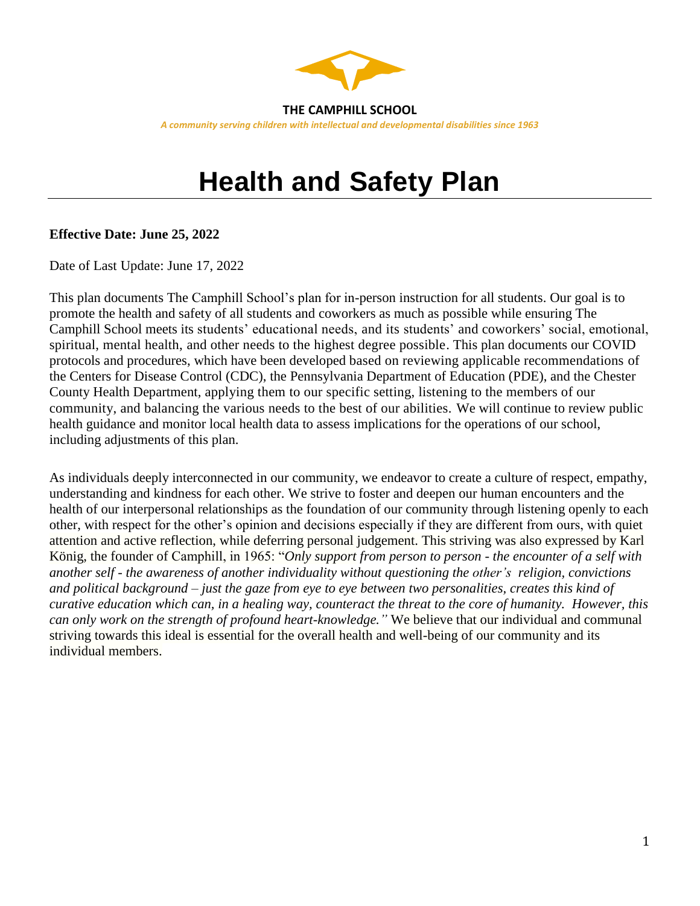

# **Health and Safety Plan**

#### **Effective Date: June 25, 2022**

Date of Last Update: June 17, 2022

This plan documents The Camphill School's plan for in-person instruction for all students. Our goal is to promote the health and safety of all students and coworkers as much as possible while ensuring The Camphill School meets its students' educational needs, and its students' and coworkers' social, emotional, spiritual, mental health, and other needs to the highest degree possible. This plan documents our COVID protocols and procedures, which have been developed based on reviewing applicable recommendations of the Centers for Disease Control (CDC), the Pennsylvania Department of Education (PDE), and the Chester County Health Department, applying them to our specific setting, listening to the members of our community, and balancing the various needs to the best of our abilities. We will continue to review public health guidance and monitor local health data to assess implications for the operations of our school, including adjustments of this plan.

As individuals deeply interconnected in our community, we endeavor to create a culture of respect, empathy, understanding and kindness for each other. We strive to foster and deepen our human encounters and the health of our interpersonal relationships as the foundation of our community through listening openly to each other, with respect for the other's opinion and decisions especially if they are different from ours, with quiet attention and active reflection, while deferring personal judgement. This striving was also expressed by Karl König, the founder of Camphill, in 1965: "*Only support from person to person - the encounter of a self with another self - the awareness of another individuality without questioning the other's religion, convictions and political background – just the gaze from eye to eye between two personalities, creates this kind of curative education which can, in a healing way, counteract the threat to the core of humanity. However, this can only work on the strength of profound heart-knowledge."* We believe that our individual and communal striving towards this ideal is essential for the overall health and well-being of our community and its individual members.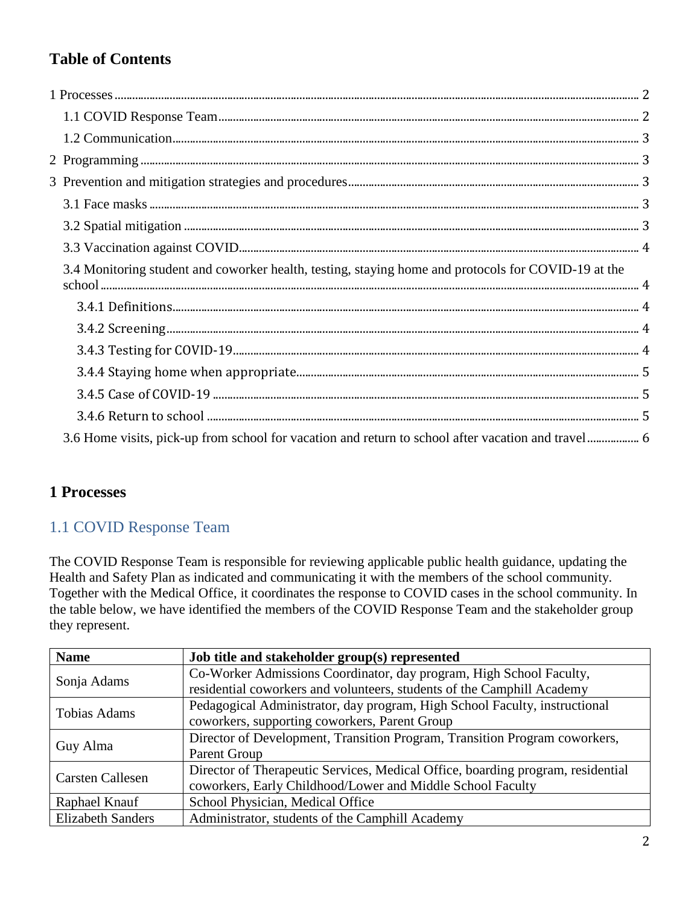# **Table of Contents**

| 3.4 Monitoring student and coworker health, testing, staying home and protocols for COVID-19 at the |  |
|-----------------------------------------------------------------------------------------------------|--|
|                                                                                                     |  |
|                                                                                                     |  |
|                                                                                                     |  |
|                                                                                                     |  |
|                                                                                                     |  |
|                                                                                                     |  |
|                                                                                                     |  |
|                                                                                                     |  |

## <span id="page-1-0"></span>**1 Processes**

## <span id="page-1-1"></span>1.1 COVID Response Team

The COVID Response Team is responsible for reviewing applicable public health guidance, updating the Health and Safety Plan as indicated and communicating it with the members of the school community. Together with the Medical Office, it coordinates the response to COVID cases in the school community. In the table below, we have identified the members of the COVID Response Team and the stakeholder group they represent.

| <b>Name</b>              | Job title and stakeholder group(s) represented                                  |
|--------------------------|---------------------------------------------------------------------------------|
| Sonja Adams              | Co-Worker Admissions Coordinator, day program, High School Faculty,             |
|                          | residential coworkers and volunteers, students of the Camphill Academy          |
| <b>Tobias Adams</b>      | Pedagogical Administrator, day program, High School Faculty, instructional      |
|                          | coworkers, supporting coworkers, Parent Group                                   |
| Guy Alma                 | Director of Development, Transition Program, Transition Program coworkers,      |
|                          | Parent Group                                                                    |
| <b>Carsten Callesen</b>  | Director of Therapeutic Services, Medical Office, boarding program, residential |
|                          | coworkers, Early Childhood/Lower and Middle School Faculty                      |
| Raphael Knauf            | School Physician, Medical Office                                                |
| <b>Elizabeth Sanders</b> | Administrator, students of the Camphill Academy                                 |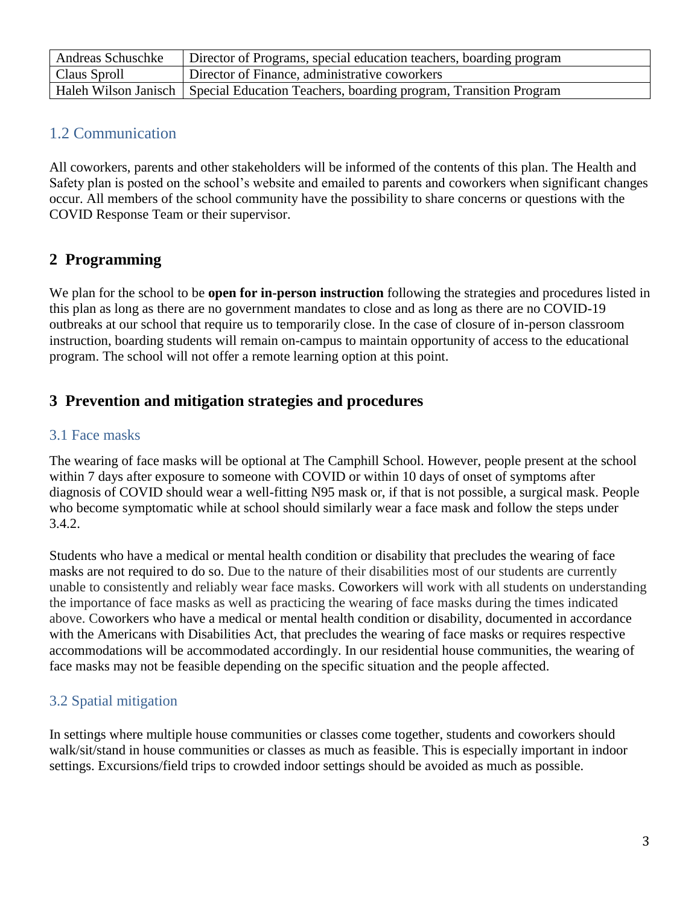| Andreas Schuschke | Director of Programs, special education teachers, boarding program                      |
|-------------------|-----------------------------------------------------------------------------------------|
| Claus Sproll      | Director of Finance, administrative coworkers                                           |
|                   | Haleh Wilson Janisch   Special Education Teachers, boarding program, Transition Program |

## <span id="page-2-0"></span>1.2 Communication

All coworkers, parents and other stakeholders will be informed of the contents of this plan. The Health and Safety plan is posted on the school's website and emailed to parents and coworkers when significant changes occur. All members of the school community have the possibility to share concerns or questions with the COVID Response Team or their supervisor.

# <span id="page-2-1"></span>**2 Programming**

We plan for the school to be **open for in-person instruction** following the strategies and procedures listed in this plan as long as there are no government mandates to close and as long as there are no COVID-19 outbreaks at our school that require us to temporarily close. In the case of closure of in-person classroom instruction, boarding students will remain on-campus to maintain opportunity of access to the educational program. The school will not offer a remote learning option at this point.

## <span id="page-2-2"></span>**3 Prevention and mitigation strategies and procedures**

## <span id="page-2-3"></span>3.1 Face masks

The wearing of face masks will be optional at The Camphill School. However, people present at the school within 7 days after exposure to someone with COVID or within 10 days of onset of symptoms after diagnosis of COVID should wear a well-fitting N95 mask or, if that is not possible, a surgical mask. People who become symptomatic while at school should similarly wear a face mask and follow the steps under 3.4.2.

Students who have a medical or mental health condition or disability that precludes the wearing of face masks are not required to do so. Due to the nature of their disabilities most of our students are currently unable to consistently and reliably wear face masks. Coworkers will work with all students on understanding the importance of face masks as well as practicing the wearing of face masks during the times indicated above. Coworkers who have a medical or mental health condition or disability, documented in accordance with the Americans with Disabilities Act, that precludes the wearing of face masks or requires respective accommodations will be accommodated accordingly. In our residential house communities, the wearing of face masks may not be feasible depending on the specific situation and the people affected.

## <span id="page-2-4"></span>3.2 Spatial mitigation

In settings where multiple house communities or classes come together, students and coworkers should walk/sit/stand in house communities or classes as much as feasible. This is especially important in indoor settings. Excursions/field trips to crowded indoor settings should be avoided as much as possible.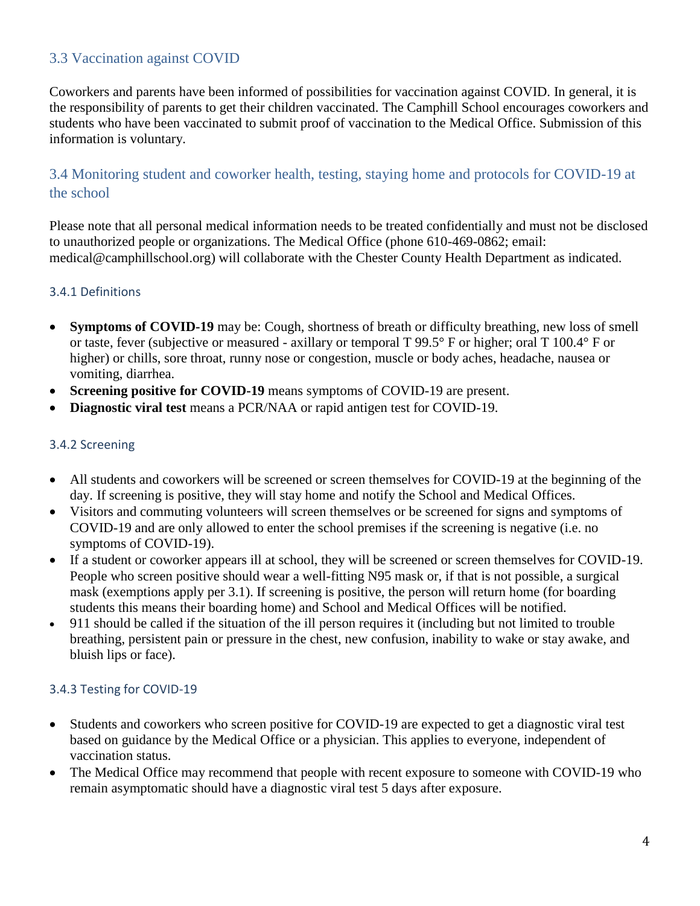## <span id="page-3-0"></span>3.3 Vaccination against COVID

Coworkers and parents have been informed of possibilities for vaccination against COVID. In general, it is the responsibility of parents to get their children vaccinated. The Camphill School encourages coworkers and students who have been vaccinated to submit proof of vaccination to the Medical Office. Submission of this information is voluntary.

## <span id="page-3-1"></span>3.4 Monitoring student and coworker health, testing, staying home and protocols for COVID-19 at the school

Please note that all personal medical information needs to be treated confidentially and must not be disclosed to unauthorized people or organizations. The Medical Office (phone 610-469-0862; email: medical@camphillschool.org) will collaborate with the Chester County Health Department as indicated.

#### <span id="page-3-2"></span>3.4.1 Definitions

- **Symptoms of COVID-19** may be: Cough, shortness of breath or difficulty breathing, new loss of smell or taste, fever (subjective or measured - axillary or temporal T 99.5° F or higher; oral T 100.4° F or higher) or chills, sore throat, runny nose or congestion, muscle or body aches, headache, nausea or vomiting, diarrhea.
- **Screening positive for COVID-19** means symptoms of COVID-19 are present.
- **Diagnostic viral test** means a PCR/NAA or rapid antigen test for COVID-19.

#### <span id="page-3-3"></span>3.4.2 Screening

- All students and coworkers will be screened or screen themselves for COVID-19 at the beginning of the day. If screening is positive, they will stay home and notify the School and Medical Offices.
- Visitors and commuting volunteers will screen themselves or be screened for signs and symptoms of COVID-19 and are only allowed to enter the school premises if the screening is negative (i.e. no symptoms of COVID-19).
- If a student or coworker appears ill at school, they will be screened or screen themselves for COVID-19. People who screen positive should wear a well-fitting N95 mask or, if that is not possible, a surgical mask (exemptions apply per 3.1). If screening is positive, the person will return home (for boarding students this means their boarding home) and School and Medical Offices will be notified.
- 911 should be called if the situation of the ill person requires it (including but not limited to trouble breathing, persistent pain or pressure in the chest, new confusion, inability to wake or stay awake, and bluish lips or face).

## <span id="page-3-4"></span>3.4.3 Testing for COVID-19

- Students and coworkers who screen positive for COVID-19 are expected to get a diagnostic viral test based on guidance by the Medical Office or a physician. This applies to everyone, independent of vaccination status.
- The Medical Office may recommend that people with recent exposure to someone with COVID-19 who remain asymptomatic should have a diagnostic viral test 5 days after exposure.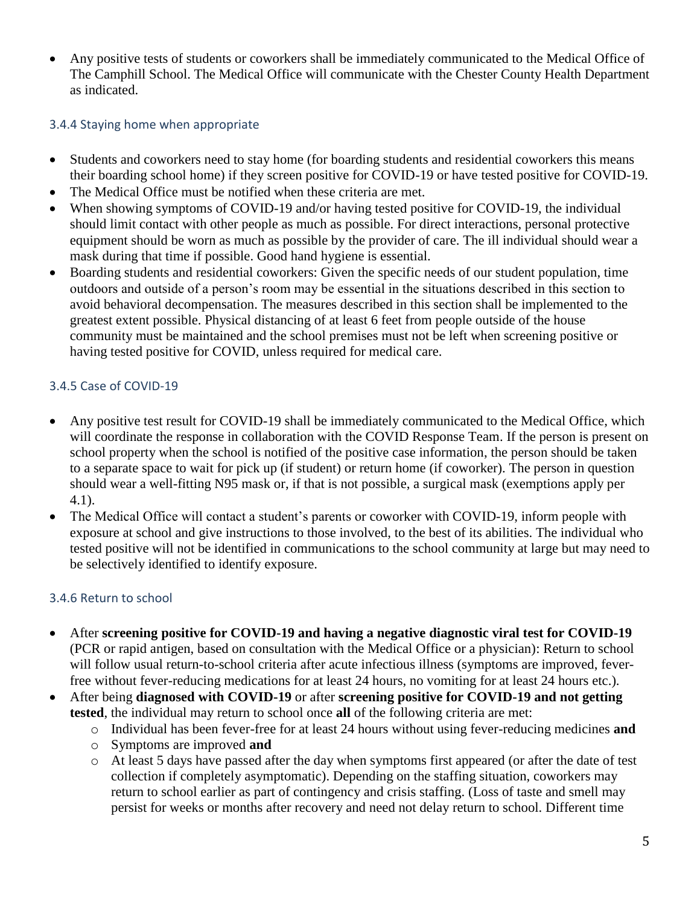• Any positive tests of students or coworkers shall be immediately communicated to the Medical Office of The Camphill School. The Medical Office will communicate with the Chester County Health Department as indicated.

#### <span id="page-4-0"></span>3.4.4 Staying home when appropriate

- Students and coworkers need to stay home (for boarding students and residential coworkers this means their boarding school home) if they screen positive for COVID-19 or have tested positive for COVID-19.
- The Medical Office must be notified when these criteria are met.
- When showing symptoms of COVID-19 and/or having tested positive for COVID-19, the individual should limit contact with other people as much as possible. For direct interactions, personal protective equipment should be worn as much as possible by the provider of care. The ill individual should wear a mask during that time if possible. Good hand hygiene is essential.
- Boarding students and residential coworkers: Given the specific needs of our student population, time outdoors and outside of a person's room may be essential in the situations described in this section to avoid behavioral decompensation. The measures described in this section shall be implemented to the greatest extent possible. Physical distancing of at least 6 feet from people outside of the house community must be maintained and the school premises must not be left when screening positive or having tested positive for COVID, unless required for medical care.

#### <span id="page-4-1"></span>3.4.5 Case of COVID-19

- Any positive test result for COVID-19 shall be immediately communicated to the Medical Office, which will coordinate the response in collaboration with the COVID Response Team. If the person is present on school property when the school is notified of the positive case information, the person should be taken to a separate space to wait for pick up (if student) or return home (if coworker). The person in question should wear a well-fitting N95 mask or, if that is not possible, a surgical mask (exemptions apply per 4.1).
- The Medical Office will contact a student's parents or coworker with COVID-19, inform people with exposure at school and give instructions to those involved, to the best of its abilities. The individual who tested positive will not be identified in communications to the school community at large but may need to be selectively identified to identify exposure.

## <span id="page-4-2"></span>3.4.6 Return to school

- After **screening positive for COVID-19 and having a negative diagnostic viral test for COVID-19** (PCR or rapid antigen, based on consultation with the Medical Office or a physician): Return to school will follow usual return-to-school criteria after acute infectious illness (symptoms are improved, feverfree without fever-reducing medications for at least 24 hours, no vomiting for at least 24 hours etc.).
- After being **diagnosed with COVID-19** or after **screening positive for COVID-19 and not getting tested**, the individual may return to school once **all** of the following criteria are met:
	- o Individual has been fever-free for at least 24 hours without using fever-reducing medicines **and**
	- o Symptoms are improved **and**
	- o At least 5 days have passed after the day when symptoms first appeared (or after the date of test collection if completely asymptomatic). Depending on the staffing situation, coworkers may return to school earlier as part of contingency and crisis staffing. (Loss of taste and smell may persist for weeks or months after recovery and need not delay return to school. Different time